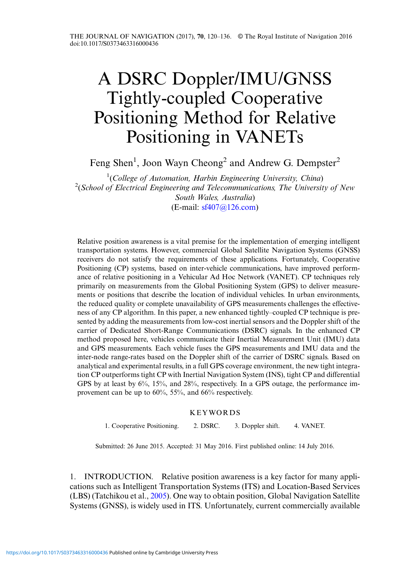# A DSRC Doppler/IMU/GNSS Tightly-coupled Cooperative Positioning Method for Relative Positioning in VANETs

Feng Shen<sup>1</sup>, Joon Wayn Cheong<sup>2</sup> and Andrew G. Dempster<sup>2</sup>

<sup>1</sup>(College of Automation, Harbin Engineering University, China)<sup>2</sup> (School of Electrical Engineering and Telecommunications. The University <sup>2</sup>(School of Electrical Engineering and Telecommunications, The University of New South Wales, Australia) (E-mail: [sf407@126.com](mailto:sf407@126.com))

Relative position awareness is a vital premise for the implementation of emerging intelligent transportation systems. However, commercial Global Satellite Navigation Systems (GNSS) receivers do not satisfy the requirements of these applications. Fortunately, Cooperative Positioning (CP) systems, based on inter-vehicle communications, have improved performance of relative positioning in a Vehicular Ad Hoc Network (VANET). CP techniques rely primarily on measurements from the Global Positioning System (GPS) to deliver measurements or positions that describe the location of individual vehicles. In urban environments, the reduced quality or complete unavailability of GPS measurements challenges the effectiveness of any CP algorithm. In this paper, a new enhanced tightly–coupled CP technique is presented by adding the measurements from low-cost inertial sensors and the Doppler shift of the carrier of Dedicated Short-Range Communications (DSRC) signals. In the enhanced CP method proposed here, vehicles communicate their Inertial Measurement Unit (IMU) data and GPS measurements. Each vehicle fuses the GPS measurements and IMU data and the inter-node range-rates based on the Doppler shift of the carrier of DSRC signals. Based on analytical and experimental results, in a full GPS coverage environment, the new tight integration CP outperforms tight CP with Inertial Navigation System (INS), tight CP and differential GPS by at least by 6%, 15%, and 28%, respectively. In a GPS outage, the performance improvement can be up to 60%, 55%, and 66% respectively.

### KEYWORDS

1. Cooperative Positioning. 2. DSRC. 3. Doppler shift. 4. VANET.

Submitted: 26 June 2015. Accepted: 31 May 2016. First published online: 14 July 2016.

1. INTRODUCTION. Relative position awareness is a key factor for many applications such as Intelligent Transportation Systems (ITS) and Location-Based Services (LBS) (Tatchikou et al., [2005](#page-16-0)). One way to obtain position, Global Navigation Satellite Systems (GNSS), is widely used in ITS. Unfortunately, current commercially available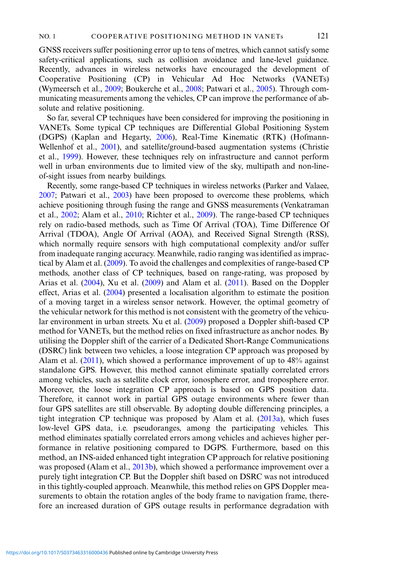GNSS receivers suffer positioning error up to tens of metres, which cannot satisfy some safety-critical applications, such as collision avoidance and lane-level guidance. Recently, advances in wireless networks have encouraged the development of Cooperative Positioning (CP) in Vehicular Ad Hoc Networks (VANETs) (Wymeersch et al., [2009](#page-16-0); Boukerche et al., [2008](#page-16-0); Patwari et al., [2005\)](#page-16-0). Through communicating measurements among the vehicles, CP can improve the performance of absolute and relative positioning.

So far, several CP techniques have been considered for improving the positioning in VANETs. Some typical CP techniques are Differential Global Positioning System (DGPS) (Kaplan and Hegarty, [2006](#page-16-0)), Real-Time Kinematic (RTK) (Hofmann-Wellenhof et al., [2001\)](#page-16-0), and satellite/ground-based augmentation systems (Christie et al., [1999\)](#page-16-0). However, these techniques rely on infrastructure and cannot perform well in urban environments due to limited view of the sky, multipath and non-lineof-sight issues from nearby buildings.

Recently, some range-based CP techniques in wireless networks (Parker and Valaee, [2007;](#page-16-0) Patwari et al., [2003\)](#page-16-0) have been proposed to overcome these problems, which achieve positioning through fusing the range and GNSS measurements (Venkatraman et al., [2002](#page-16-0); Alam et al., [2010](#page-15-0); Richter et al., [2009](#page-16-0)). The range-based CP techniques rely on radio-based methods, such as Time Of Arrival (TOA), Time Difference Of Arrival (TDOA), Angle Of Arrival (AOA), and Received Signal Strength (RSS), which normally require sensors with high computational complexity and/or suffer from inadequate ranging accuracy. Meanwhile, radio ranging was identified as impractical by Alam et al. ([2009\)](#page-15-0). To avoid the challenges and complexities of range-based CP methods, another class of CP techniques, based on range-rating, was proposed by Arias et al. ([2004\)](#page-16-0), Xu et al. ([2009\)](#page-16-0) and Alam et al. [\(2011](#page-16-0)). Based on the Doppler effect, Arias et al. [\(2004](#page-16-0)) presented a localisation algorithm to estimate the position of a moving target in a wireless sensor network. However, the optimal geometry of the vehicular network for this method is not consistent with the geometry of the vehicular environment in urban streets. Xu et al. [\(2009](#page-16-0)) proposed a Doppler shift-based CP method for VANETs, but the method relies on fixed infrastructure as anchor nodes. By utilising the Doppler shift of the carrier of a Dedicated Short-Range Communications (DSRC) link between two vehicles, a loose integration CP approach was proposed by Alam et al. ([2011\)](#page-16-0), which showed a performance improvement of up to 48% against standalone GPS. However, this method cannot eliminate spatially correlated errors among vehicles, such as satellite clock error, ionosphere error, and troposphere error. Moreover, the loose integration CP approach is based on GPS position data. Therefore, it cannot work in partial GPS outage environments where fewer than four GPS satellites are still observable. By adopting double differencing principles, a tight integration CP technique was proposed by Alam et al. ([2013a\)](#page-16-0), which fuses low-level GPS data, i.e. pseudoranges, among the participating vehicles. This method eliminates spatially correlated errors among vehicles and achieves higher performance in relative positioning compared to DGPS. Furthermore, based on this method, an INS-aided enhanced tight integration CP approach for relative positioning was proposed (Alam et al., [2013b](#page-16-0)), which showed a performance improvement over a purely tight integration CP. But the Doppler shift based on DSRC was not introduced in this tightly-coupled approach. Meanwhile, this method relies on GPS Doppler measurements to obtain the rotation angles of the body frame to navigation frame, therefore an increased duration of GPS outage results in performance degradation with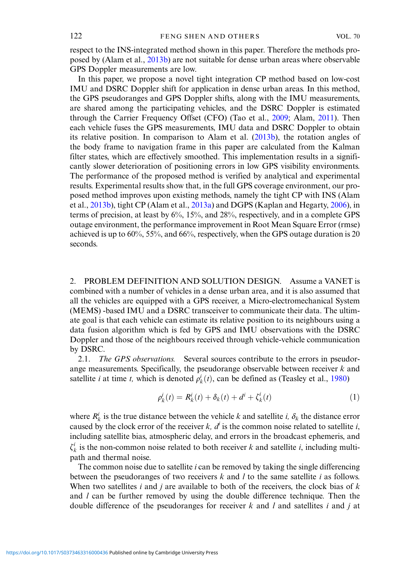respect to the INS-integrated method shown in this paper. Therefore the methods proposed by (Alam et al., [2013b](#page-16-0)) are not suitable for dense urban areas where observable GPS Doppler measurements are low.

In this paper, we propose a novel tight integration CP method based on low-cost IMU and DSRC Doppler shift for application in dense urban areas. In this method, the GPS pseudoranges and GPS Doppler shifts, along with the IMU measurements, are shared among the participating vehicles, and the DSRC Doppler is estimated through the Carrier Frequency Offset (CFO) (Tao et al., [2009](#page-16-0); Alam, [2011](#page-15-0)). Then each vehicle fuses the GPS measurements, IMU data and DSRC Doppler to obtain its relative position. In comparison to Alam et al. ([2013b](#page-16-0)), the rotation angles of the body frame to navigation frame in this paper are calculated from the Kalman filter states, which are effectively smoothed. This implementation results in a significantly slower deterioration of positioning errors in low GPS visibility environments. The performance of the proposed method is verified by analytical and experimental results. Experimental results show that, in the full GPS coverage environment, our proposed method improves upon existing methods, namely the tight CP with INS (Alam et al., [2013b](#page-16-0)), tight CP (Alam et al., [2013a\)](#page-16-0) and DGPS (Kaplan and Hegarty, [2006\)](#page-16-0), in terms of precision, at least by 6%, 15%, and 28%, respectively, and in a complete GPS outage environment, the performance improvement in Root Mean Square Error (rmse) achieved is up to 60%, 55%, and 66%, respectively, when the GPS outage duration is 20 seconds.

2. PROBLEM DEFINITION AND SOLUTION DESIGN. Assume a VANET is combined with a number of vehicles in a dense urban area, and it is also assumed that all the vehicles are equipped with a GPS receiver, a Micro-electromechanical System (MEMS) -based IMU and a DSRC transceiver to communicate their data. The ultimate goal is that each vehicle can estimate its relative position to its neighbours using a data fusion algorithm which is fed by GPS and IMU observations with the DSRC Doppler and those of the neighbours received through vehicle-vehicle communication by DSRC.

2.1. The GPS observations. Several sources contribute to the errors in pseudorange measurements. Specifically, the pseudorange observable between receiver  $k$  and satellite *i* at time *t*, which is denoted  $\rho_k^i(t)$ , can be defined as (Teasley et al., [1980\)](#page-16-0)

$$
\rho_k^i(t) = R_k^i(t) + \delta_k(t) + d^i + \zeta_k^i(t)
$$
\n(1)

where  $R_k^i$  is the true distance between the vehicle k and satellite i,  $\delta_k$  the distance error caused by the clock error of the receiver k,  $d^i$  is the common noise related to satellite i, including satellite bias, atmospheric delay, and errors in the broadcast ephemeris, and  $\zeta_k^i$  is the non-common noise related to both receiver k and satellite i, including multipath and thermal noise.

The common noise due to satellite  $i$  can be removed by taking the single differencing between the pseudoranges of two receivers  $k$  and  $l$  to the same satellite  $i$  as follows. When two satellites i and j are available to both of the receivers, the clock bias of  $k$ and  $l$  can be further removed by using the double difference technique. Then the double difference of the pseudoranges for receiver  $k$  and  $l$  and satellites  $i$  and  $j$  at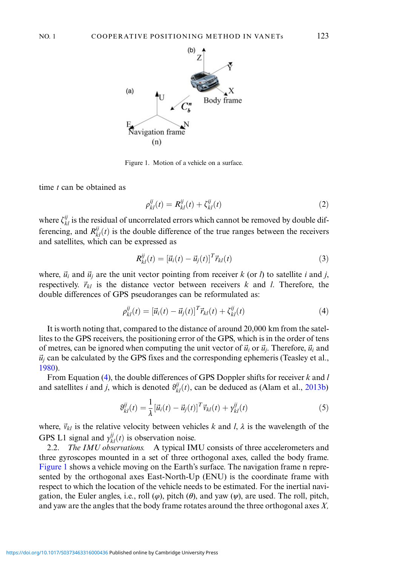<span id="page-3-0"></span>

Figure 1. Motion of a vehicle on a surface.

time  $t$  can be obtained as

$$
\rho_{kl}^{ij}(t) = R_{kl}^{ij}(t) + \zeta_{kl}^{ij}(t)
$$
\n(2)

where  $\zeta_{kl}^{ij}$  is the residual of uncorrelated errors which cannot be removed by double differencing, and  $R_{kl}^{ij}(t)$  is the double difference of the true ranges between the receivers and satellites, which can be expressed as

$$
R_{kl}^{ij}(t) = [\vec{u}_i(t) - \vec{u}_j(t)]^T \vec{r}_{kl}(t)
$$
\n(3)

where,  $\vec{u}_i$  and  $\vec{u}_j$  are the unit vector pointing from receiver k (or l) to satellite i and j, respectively.  $\vec{r}_{kl}$  is the distance vector between receivers k and l. Therefore, the double differences of GPS pseudoranges can be reformulated as:

$$
\rho_{kl}^{ij}(t) = [\vec{u}_i(t) - \vec{u}_j(t)]^T \vec{r}_{kl}(t) + \zeta_{kl}^{ij}(t)
$$
\n(4)

It is worth noting that, compared to the distance of around 20,000 km from the satellites to the GPS receivers, the positioning error of the GPS, which is in the order of tens of metres, can be ignored when computing the unit vector of  $\vec{u}_i$  or  $\vec{u}_i$ . Therefore,  $\vec{u}_i$  and  $\vec{u}_i$  can be calculated by the GPS fixes and the corresponding ephemeris (Teasley et al., [1980](#page-16-0)).

From Equation (4), the double differences of GPS Doppler shifts for receiver  $k$  and  $l$ and satellites *i* and *j*, which is denoted  $\theta_{kl}^{ij}(t)$ , can be deduced as (Alam et al., [2013b\)](#page-16-0)

$$
\vartheta_{kl}^{ij}(t) = \frac{1}{\lambda} \left[ \vec{u}_i(t) - \vec{u}_j(t) \right]^T \vec{v}_{kl}(t) + \gamma_{kl}^{ij}(t) \tag{5}
$$

where,  $\vec{v}_{kl}$  is the relative velocity between vehicles k and l,  $\lambda$  is the wavelength of the GPS L1 signal and  $\gamma_{kl}^{ij}(t)$  is observation noise.

2.2. *The IMU observations.* A typical IMU consists of three accelerometers and three gyroscopes mounted in a set of three orthogonal axes, called the body frame. Figure 1 shows a vehicle moving on the Earth's surface. The navigation frame n represented by the orthogonal axes East-North-Up (ENU) is the coordinate frame with respect to which the location of the vehicle needs to be estimated. For the inertial navigation, the Euler angles, i.e., roll  $(\varphi)$ , pitch  $(\theta)$ , and yaw  $(\psi)$ , are used. The roll, pitch, and yaw are the angles that the body frame rotates around the three orthogonal axes X,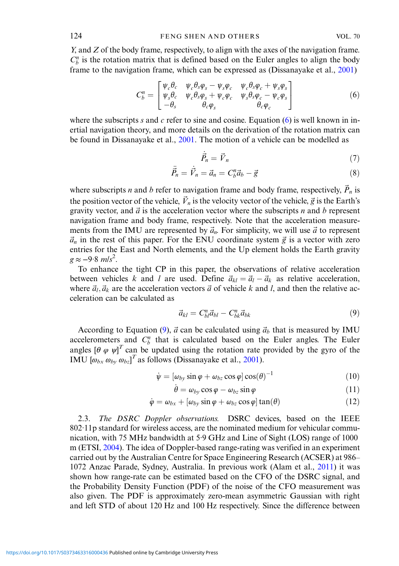<span id="page-4-0"></span>Y, and Z of the body frame, respectively, to align with the axes of the navigation frame.  $C_b^n$  is the rotation matrix that is defined based on the Euler angles to align the body frame to the navigation frame, which can be expressed as (Dissanayake et al., [2001\)](#page-16-0)

$$
C_b^n = \begin{bmatrix} \psi_c \theta_c & \psi_c \theta_s \varphi_s - \psi_s \varphi_c & \psi_c \theta_s \varphi_c + \psi_s \varphi_s \\ \psi_s \theta_c & \psi_c \theta_s \varphi_s + \psi_c \varphi_c & \psi_s \theta_s \varphi_c - \psi_c \varphi_s \\ -\theta_s & \theta_c \varphi_s & \theta_c \varphi_c \end{bmatrix}
$$
(6)

where the subscripts s and c refer to sine and cosine. Equation  $(6)$  is well known in inertial navigation theory, and more details on the derivation of the rotation matrix can be found in Dissanayake et al., [2001.](#page-16-0) The motion of a vehicle can be modelled as

$$
\vec{P}_n = \vec{V}_n \tag{7}
$$

$$
\ddot{\vec{P}}_n = \dot{\vec{V}}_n = \vec{a}_n = C_b^n \vec{a}_b - \vec{g}
$$
\n(8)

where subscripts *n* and *b* refer to navigation frame and body frame, respectively,  $\dot{P}_n$  is the position vector of the vehicle,  $\vec{V}_n$  is the velocity vector of the vehicle,  $\vec{g}$  is the Earth's gravity vector, and  $\vec{a}$  is the acceleration vector where the subscripts n and b represent navigation frame and body frame, respectively. Note that the acceleration measurements from the IMU are represented by  $\vec{a}_n$ . For simplicity, we will use  $\vec{a}$  to represent  $\vec{a}_n$  in the rest of this paper. For the ENU coordinate system  $\vec{g}$  is a vector with zero entries for the East and North elements, and the Up element holds the Earth gravity  $g \approx -9.8 \; m/s^2$ .

To enhance the tight CP in this paper, the observations of relative acceleration between vehicles k and l are used. Define  $\vec{a}_{kl} = \vec{a}_l - \vec{a}_k$  as relative acceleration, where  $\vec{a}_l$ ,  $\vec{a}_k$  are the acceleration vectors  $\vec{a}$  of vehicle k and l, and then the relative acceleration can be calculated as

$$
\vec{a}_{kl} = C_{bl}^n \vec{a}_{bl} - C_{bk}^n \vec{a}_{bk} \tag{9}
$$

According to Equation (9),  $\vec{a}$  can be calculated using  $\vec{a}_b$  that is measured by IMU accelerometers and  $C_b^n$  that is calculated based on the Euler angles. The Euler angles [ $\theta \varphi \psi$ ]<sup>T</sup> can be updated using the rotation rate provided by the gyro of the IMU  $[\omega_{bx} \omega_{by} \omega_{bz}]^T$  as follows (Dissanayake et al., [2001\)](#page-16-0).

$$
\dot{\psi} = [\omega_{by} \sin \varphi + \omega_{bz} \cos \varphi] \cos(\theta)^{-1}
$$
 (10)

$$
\dot{\theta} = \omega_{by} \cos \varphi - \omega_{bz} \sin \varphi \tag{11}
$$

$$
\dot{\varphi} = \omega_{bx} + [\omega_{by} \sin \varphi + \omega_{bz} \cos \varphi] \tan(\theta)
$$
 (12)

2.3. The DSRC Doppler observations. DSRC devices, based on the IEEE 802·11p standard for wireless access, are the nominated medium for vehicular communication, with 75 MHz bandwidth at 5·9 GHz and Line of Sight (LOS) range of 1000 m (ETSI, [2004\)](#page-16-0). The idea of Doppler-based range-rating was verified in an experiment carried out by the Australian Centre for Space Engineering Research (ACSER) at 986– 1072 Anzac Parade, Sydney, Australia. In previous work (Alam et al., [2011\)](#page-16-0) it was shown how range-rate can be estimated based on the CFO of the DSRC signal, and the Probability Density Function (PDF) of the noise of the CFO measurement was also given. The PDF is approximately zero-mean asymmetric Gaussian with right and left STD of about 120 Hz and 100 Hz respectively. Since the difference between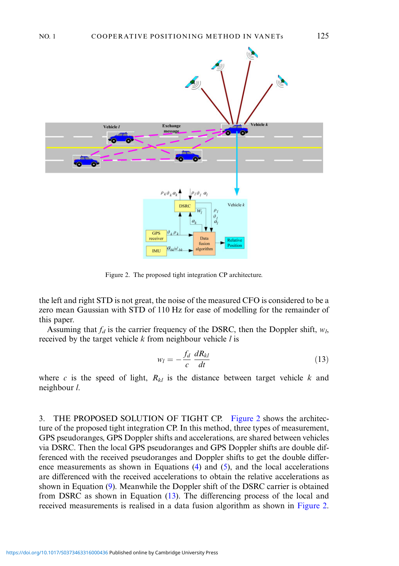<span id="page-5-0"></span>

Figure 2. The proposed tight integration CP architecture.

the left and right STD is not great, the noise of the measured CFO is considered to be a zero mean Gaussian with STD of 110 Hz for ease of modelling for the remainder of this paper.

Assuming that  $f_d$  is the carrier frequency of the DSRC, then the Doppler shift,  $w_l$ , received by the target vehicle  $k$  from neighbour vehicle  $l$  is

$$
w_l = -\frac{f_d}{c} \frac{dR_{kl}}{dt} \tag{13}
$$

where c is the speed of light,  $R_{kl}$  is the distance between target vehicle k and neighbour l.

3. THE PROPOSED SOLUTION OF TIGHT CP. Figure 2 shows the architecture of the proposed tight integration CP. In this method, three types of measurement, GPS pseudoranges, GPS Doppler shifts and accelerations, are shared between vehicles via DSRC. Then the local GPS pseudoranges and GPS Doppler shifts are double differenced with the received pseudoranges and Doppler shifts to get the double difference measurements as shown in Equations ([4\)](#page-3-0) and [\(5](#page-3-0)), and the local accelerations are differenced with the received accelerations to obtain the relative accelerations as shown in Equation ([9\)](#page-4-0). Meanwhile the Doppler shift of the DSRC carrier is obtained from DSRC as shown in Equation (13). The differencing process of the local and received measurements is realised in a data fusion algorithm as shown in Figure 2.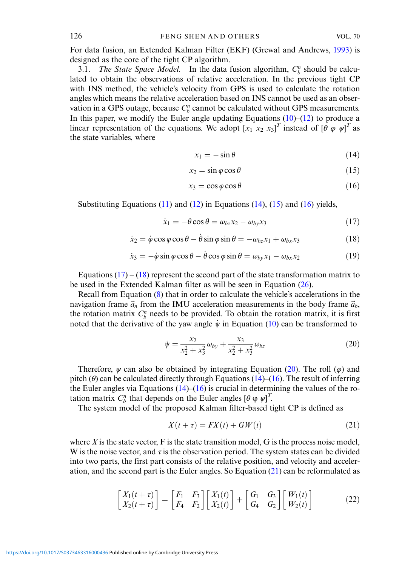<span id="page-6-0"></span>For data fusion, an Extended Kalman Filter (EKF) (Grewal and Andrews, [1993\)](#page-16-0) is designed as the core of the tight CP algorithm.

3.1. The State Space Model. In the data fusion algorithm,  $C_b^n$  should be calculated to obtain the observations of relative acceleration. In the previous tight CP with INS method, the vehicle's velocity from GPS is used to calculate the rotation angles which means the relative acceleration based on INS cannot be used as an observation in a GPS outage, because  $C_b^n$  cannot be calculated without GPS measurements. In this paper, we modify the Euler angle updating Equations  $(10)$  $(10)$ – $(12)$  $(12)$  to produce a linear representation of the equations. We adopt  $[x_1 \ x_2 \ x_3]^T$  instead of  $[\theta \varphi \psi]^T$  as the state variables, where

$$
x_1 = -\sin\theta \tag{14}
$$

$$
x_2 = \sin \varphi \cos \theta \tag{15}
$$

$$
x_3 = \cos \varphi \cos \theta \tag{16}
$$

Substituting Equations  $(11)$  $(11)$  and  $(12)$  $(12)$  in Equations  $(14)$ ,  $(15)$  and  $(16)$  yields,

$$
\dot{x}_1 = -\theta \cos \theta = \omega_{bz} x_2 - \omega_{by} x_3 \tag{17}
$$

$$
\dot{x}_2 = \dot{\varphi}\cos\varphi\cos\theta - \dot{\theta}\sin\varphi\sin\theta = -\omega_{bz}x_1 + \omega_{bx}x_3 \tag{18}
$$

$$
\dot{x}_3 = -\dot{\varphi}\sin\varphi\cos\theta - \dot{\theta}\cos\varphi\sin\theta = \omega_{by}x_1 - \omega_{bx}x_2 \tag{19}
$$

Equations  $(17) - (18)$  represent the second part of the state transformation matrix to be used in the Extended Kalman filter as will be seen in Equation ([26\)](#page-7-0).

Recall from Equation ([8\)](#page-4-0) that in order to calculate the vehicle's accelerations in the navigation frame  $\vec{a}_n$  from the IMU acceleration measurements in the body frame  $\vec{a}_b$ , the rotation matrix  $C_b^n$  needs to be provided. To obtain the rotation matrix, it is first noted that the derivative of the yaw angle  $\dot{\psi}$  in Equation ([10\)](#page-4-0) can be transformed to

$$
\dot{\psi} = \frac{x_2}{x_2^2 + x_3^2} \omega_{by} + \frac{x_3}{x_2^2 + x_3^2} \omega_{bz} \tag{20}
$$

Therefore,  $\psi$  can also be obtained by integrating Equation (20). The roll ( $\varphi$ ) and pitch ( $\theta$ ) can be calculated directly through Equations (14)–(16). The result of inferring the Euler angles via Equations  $(14)$ – $(16)$  is crucial in determining the values of the rotation matrix  $C_b^n$  that depends on the Euler angles  $[\theta \varphi \psi]^T$ .

The system model of the proposed Kalman filter-based tight CP is defined as

$$
X(t+\tau) = FX(t) + GW(t)
$$
\n(21)

where  $X$  is the state vector,  $F$  is the state transition model,  $G$  is the process noise model, W is the noise vector, and  $\tau$  is the observation period. The system states can be divided into two parts, the first part consists of the relative position, and velocity and acceleration, and the second part is the Euler angles. So Equation (21) can be reformulated as

$$
\begin{bmatrix} X_1(t+\tau) \\ X_2(t+\tau) \end{bmatrix} = \begin{bmatrix} F_1 & F_3 \\ F_4 & F_2 \end{bmatrix} \begin{bmatrix} X_1(t) \\ X_2(t) \end{bmatrix} + \begin{bmatrix} G_1 & G_3 \\ G_4 & G_2 \end{bmatrix} \begin{bmatrix} W_1(t) \\ W_2(t) \end{bmatrix}
$$
(22)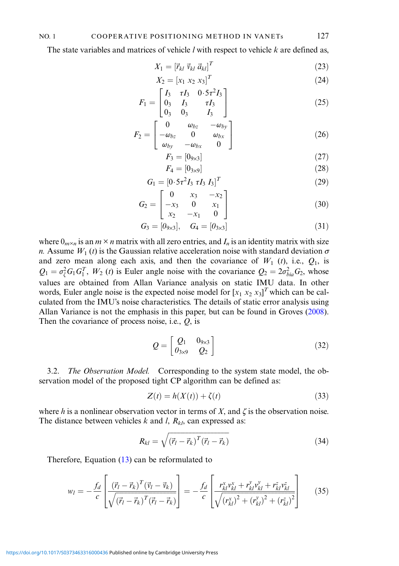### <span id="page-7-0"></span>NO. 1 COOPERATIVE POSITIONING METHOD IN VANETs 127

The state variables and matrices of vehicle  $l$  with respect to vehicle  $k$  are defined as,

$$
X_1 = \left[\vec{r}_{kl} \ \vec{v}_{kl} \ \vec{a}_{kl}\right]^T \tag{23}
$$

$$
X_2 = [x_1 \ x_2 \ x_3]^T \tag{24}
$$

$$
F_1 = \begin{bmatrix} I_3 & \tau I_3 & 0.5\tau^2 I_3 \\ 0_3 & I_3 & \tau I_3 \\ 0_3 & 0_3 & I_3 \end{bmatrix}
$$
 (25)

$$
F_2 = \begin{bmatrix} 0 & \omega_{bz} & -\omega_{by} \\ -\omega_{bz} & 0 & \omega_{bx} \\ \omega_{by} & -\omega_{bx} & 0 \end{bmatrix}
$$
 (26)

$$
F_3 = [0_{9 \times 3}] \tag{27}
$$

$$
F_4 = [0_{3 \times 9}] \tag{28}
$$

$$
G_1 = [0.5\tau^2 I_3 \tau I_3 I_3]^T
$$
 (29)

$$
G_2 = \begin{bmatrix} 0 & x_3 & -x_2 \\ -x_3 & 0 & x_1 \\ x_2 & -x_1 & 0 \end{bmatrix}
$$
 (30)

$$
G_3 = [0_{9 \times 3}], \quad G_4 = [0_{3 \times 3}] \tag{31}
$$

where  $0_{m \times n}$  is an  $m \times n$  matrix with all zero entries, and  $I_n$  is an identity matrix with size n. Assume  $W_1(t)$  is the Gaussian relative acceleration noise with standard deviation  $\sigma$ and zero mean along each axis, and then the covariance of  $W_1$  (t), i.e.,  $Q_1$ , is  $Q_1 = \sigma_{\zeta}^2 G_1 G_1^T$ ,  $W_2$  (*t*) is Euler angle noise with the covariance  $Q_2 = 2\sigma_{bia}^2 G_2$ , whose values are obtained from Allan Variance analysis on static IMU data. In other words, Euler angle noise is the expected noise model for  $[x_1 \ x_2 \ x_3]^T$  which can be calculated from the IMU's noise characteristics. The details of static error analysis using Allan Variance is not the emphasis in this paper, but can be found in Groves ([2008\)](#page-16-0). Then the covariance of process noise, i.e.,  $Q$ , is

$$
Q = \begin{bmatrix} Q_1 & 0_{9 \times 3} \\ 0_{3 \times 9} & Q_2 \end{bmatrix} \tag{32}
$$

3.2. The Observation Model. Corresponding to the system state model, the observation model of the proposed tight CP algorithm can be defined as:

$$
Z(t) = h(X(t)) + \zeta(t)
$$
\n(33)

where h is a nonlinear observation vector in terms of X, and  $\zeta$  is the observation noise. The distance between vehicles  $k$  and  $l$ ,  $R_{kl}$ , can expressed as:

$$
R_{kl} = \sqrt{(\vec{r}_l - \vec{r}_k)^T (\vec{r}_l - \vec{r}_k)}
$$
(34)

Therefore, Equation ([13\)](#page-5-0) can be reformulated to

$$
w_{l} = -\frac{f_{d}}{c} \left[ \frac{(\vec{r}_{l} - \vec{r}_{k})^{T} (\vec{v}_{l} - \vec{v}_{k})}{\sqrt{(\vec{r}_{l} - \vec{r}_{k})^{T} (\vec{r}_{l} - \vec{r}_{k})}} \right] = -\frac{f_{d}}{c} \left[ \frac{r_{kl}^{x} v_{kl}^{x} + r_{kl}^{y} v_{kl}^{y} + r_{kl}^{z} v_{kl}^{z}}{\sqrt{(r_{kl}^{x})^{2} + (r_{kl}^{y})^{2} + (r_{kl}^{z})^{2}}} \right]
$$
(35)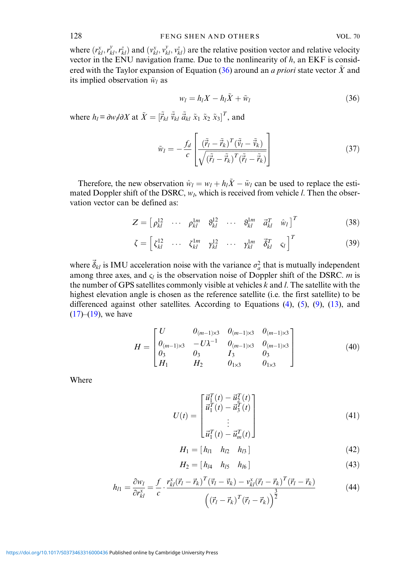<span id="page-8-0"></span>where  $(r_{kl}^x, r_{kl}^y, r_{kl}^z)$  and  $(v_{kl}^x, v_{kl}^y, v_{kl}^z)$  are the relative position vector and relative velocity vector in the ENU navigation frame. Due to the nonlinearity of  $h$ , an EKF is considered with the Taylor expansion of Equation (36) around an *a priori* state vector  $\tilde{X}$  and its implied observation  $\tilde{w}_l$  as

$$
w_l = h_l X - h_l \tilde{X} + \tilde{w}_l \tag{36}
$$

where  $h_l = \frac{\partial w_l}{\partial X}$  at  $\tilde{X} = [\tilde{r}_{kl} \ \tilde{v}_{kl} \ \tilde{a}_{kl} \ \tilde{x}_1 \ \tilde{x}_2 \ \tilde{x}_3]^T$ , and

$$
\tilde{w}_l = -\frac{f_d}{c} \left[ \frac{(\tilde{\vec{r}}_l - \tilde{\vec{r}}_k)^T (\tilde{\vec{v}}_l - \tilde{\vec{v}}_k)}{\sqrt{(\tilde{\vec{r}}_l - \tilde{\vec{r}}_k)^T (\tilde{\vec{r}}_l - \tilde{\vec{r}}_k)}} \right]
$$
(37)

Therefore, the new observation  $\hat{w}_l = w_l + h_l \tilde{X} - \tilde{w}_l$  can be used to replace the estimated Doppler shift of the DSRC,  $w_l$ , which is received from vehicle *l*. Then the observation vector can be defined as:

$$
Z = \begin{bmatrix} \rho_{kl}^{12} & \cdots & \rho_{kl}^{1m} & \vartheta_{kl}^{12} & \cdots & \vartheta_{kl}^{1m} & \vec{a}_{kl}^T & \hat{w}_l \end{bmatrix}^T
$$
(38)

$$
\zeta = \begin{bmatrix} \zeta_{kl}^{12} & \cdots & \zeta_{kl}^{1m} & \gamma_{kl}^{12} & \cdots & \gamma_{kl}^{1m} & \vec{\delta}_{kl}^{T} & \zeta_{l} \end{bmatrix}^{T}
$$
(39)

where  $\vec{\delta}_{kl}$  is IMU acceleration noise with the variance  $\sigma_a^2$  that is mutually independent among three axes, and  $\varsigma_l$  is the observation noise of Doppler shift of the DSRC. m is the number of GPS satellites commonly visible at vehicles  $k$  and  $l$ . The satellite with the highest elevation angle is chosen as the reference satellite (i.e. the first satellite) to be differenced against other satellites. According to Equations ([4\)](#page-3-0), [\(5](#page-3-0)), [\(9](#page-4-0)), ([13\)](#page-5-0), and  $(17)$  $(17)$ – $(19)$  $(19)$ , we have

$$
H = \begin{bmatrix} U & 0_{(m-1)\times3} & 0_{(m-1)\times3} & 0_{(m-1)\times3} \\ 0_{(m-1)\times3} & -U\lambda^{-1} & 0_{(m-1)\times3} & 0_{(m-1)\times3} \\ 0_3 & 0_3 & I_3 & 0_3 \\ H_1 & H_2 & 0_{1\times3} & 0_{1\times3} \end{bmatrix}
$$
(40)

Where

$$
U(t) = \begin{bmatrix} \vec{u}_1^T(t) - \vec{u}_2^T(t) \\ \vec{u}_1^T(t) - \vec{u}_3^T(t) \\ \vdots \\ \vec{u}_1^T(t) - \vec{u}_m^T(t) \end{bmatrix}
$$
(41)

$$
H_1 = [h_{l1} \quad h_{l2} \quad h_{l3}] \tag{42}
$$

$$
H_2 = [h_{l4} \quad h_{l5} \quad h_{l6}] \tag{43}
$$

$$
h_{l1} = \frac{\partial w_l}{\partial r_{kl}^x} = \frac{f}{c} \cdot \frac{r_{kl}^x(\vec{r}_l - \vec{r}_k)^T(\vec{v}_l - \vec{v}_k) - v_{kl}^x(\vec{r}_l - \vec{r}_k)^T(\vec{r}_l - \vec{r}_k)}{\left((\vec{r}_l - \vec{r}_k)^T(\vec{r}_l - \vec{r}_k)\right)^{\frac{3}{2}}}
$$
(44)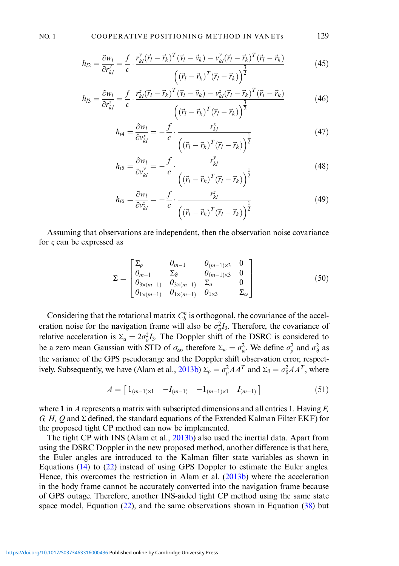$$
h_{l2} = \frac{\partial w_l}{\partial r_{kl}^{\nu}} = \frac{f}{c} \cdot \frac{r_{kl}^{\nu}(\vec{r}_l - \vec{r}_k)^T(\vec{v}_l - \vec{v}_k) - v_{kl}^{\nu}(\vec{r}_l - \vec{r}_k)^T(\vec{r}_l - \vec{r}_k)}{\left((\vec{r}_l - \vec{r}_k)^T(\vec{r}_l - \vec{r}_k)\right)^{\frac{3}{2}}}
$$
(45)

$$
h_{l3} = \frac{\partial w_l}{\partial r_{kl}^z} = \frac{f}{c} \cdot \frac{r_{kl}^z (\vec{r}_l - \vec{r}_k)^T (\vec{v}_l - \vec{v}_k) - v_{kl}^z (\vec{r}_l - \vec{r}_k)^T (\vec{r}_l - \vec{r}_k)}{\left( (\vec{r}_l - \vec{r}_k)^T (\vec{r}_l - \vec{r}_k) \right)^{\frac{3}{2}}}
$$
(46)

$$
h_{l4} = \frac{\partial w_l}{\partial v_{kl}^x} = -\frac{f}{c} \cdot \frac{r_{kl}^x}{\left( \left(\vec{r}_l - \vec{r}_k\right)^T \left(\vec{r}_l - \vec{r}_k\right) \right)^{\frac{1}{2}}}
$$
(47)

$$
h_{IS} = \frac{\partial w_I}{\partial v_{kl}^y} = -\frac{f}{c} \cdot \frac{r_{kl}^y}{\left( \left( \vec{r}_I - \vec{r}_k \right)^T \left( \vec{r}_I - \vec{r}_k \right) \right)^{\frac{1}{2}}}
$$
(48)

$$
h_{I6} = \frac{\partial w_I}{\partial v_{kl}^z} = -\frac{f}{c} \cdot \frac{r_{kl}^z}{\left( \left(\vec{r}_I - \vec{r}_k\right)^T \left(\vec{r}_I - \vec{r}_k\right) \right)^{\frac{1}{2}}}
$$
(49)

Assuming that observations are independent, then the observation noise covariance for  $\varsigma$  can be expressed as

$$
\Sigma = \begin{bmatrix}\n\Sigma_{\rho} & 0_{m-1} & 0_{(m-1)\times3} & 0 \\
0_{m-1} & \Sigma_{9} & 0_{(m-1)\times3} & 0 \\
0_{3\times(m-1)} & 0_{3\times(m-1)} & \Sigma_{a} & 0 \\
0_{1\times(m-1)} & 0_{1\times(m-1)} & 0_{1\times3} & \Sigma_{\omega}\n\end{bmatrix}
$$
(50)

Considering that the rotational matrix  $C_b^n$  is orthogonal, the covariance of the acceleration noise for the navigation frame will also be  $\sigma_a^2 I_3$ . Therefore, the covariance of relative acceleration is  $\Sigma_a = 2\sigma_a^2 I_3$ . The Doppler shift of the DSRC is considered to be a zero mean Gaussian with STD of  $\sigma_{\omega}$ , therefore  $\Sigma_{\omega} = \sigma_{\omega}^2$ . We define  $\sigma_{\rho}^2$  and  $\sigma_{\vartheta}^2$  as the variance of the GPS pseudorange and the Doppler shift observation error, respect-ively. Subsequently, we have (Alam et al., [2013b](#page-16-0))  $\Sigma_{\rho} = \sigma_{\rho}^2 AA^T$  and  $\Sigma_{\vartheta} = \sigma_{\vartheta}^2 AA^T$ , where

$$
A = \begin{bmatrix} 1_{(m-1)\times 1} & -I_{(m-1)} & -1_{(m-1)\times 1} & I_{(m-1)} \end{bmatrix}
$$
 (51)

where 1 in A represents a matrix with subscripted dimensions and all entries 1. Having  $F$ ,  $G, H, Q$  and  $\Sigma$  defined, the standard equations of the Extended Kalman Filter EKF) for the proposed tight CP method can now be implemented.

The tight CP with INS (Alam et al., [2013b\)](#page-16-0) also used the inertial data. Apart from using the DSRC Doppler in the new proposed method, another difference is that here, the Euler angles are introduced to the Kalman filter state variables as shown in Equations [\(14](#page-6-0)) to [\(22](#page-6-0)) instead of using GPS Doppler to estimate the Euler angles. Hence, this overcomes the restriction in Alam et al. ([2013b](#page-16-0)) where the acceleration in the body frame cannot be accurately converted into the navigation frame because of GPS outage. Therefore, another INS-aided tight CP method using the same state space model, Equation ([22\)](#page-6-0), and the same observations shown in Equation [\(38](#page-8-0)) but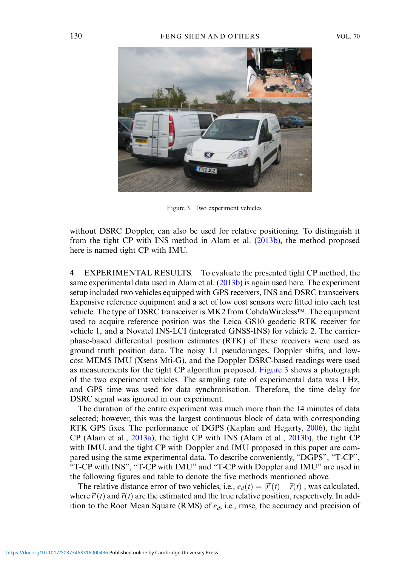

Figure 3. Two experiment vehicles.

without DSRC Doppler, can also be used for relative positioning. To distinguish it from the tight CP with INS method in Alam et al. ([2013b](#page-16-0)), the method proposed here is named tight CP with IMU.

4. EXPERIMENTAL RESULTS. To evaluate the presented tight CP method, the same experimental data used in Alam et al. [\(2013b\)](#page-16-0) is again used here. The experiment setup included two vehicles equipped with GPS receivers, INS and DSRC transceivers. Expensive reference equipment and a set of low cost sensors were fitted into each test vehicle. The type of DSRC transceiver is MK2 from CohdaWireless™. The equipment used to acquire reference position was the Leica GS10 geodetic RTK receiver for vehicle 1, and a Novatel INS-LCI (integrated GNSS-INS) for vehicle 2. The carrierphase-based differential position estimates (RTK) of these receivers were used as ground truth position data. The noisy L1 pseudoranges, Doppler shifts, and lowcost MEMS IMU (Xsens Mti-G), and the Doppler DSRC-based readings were used as measurements for the tight CP algorithm proposed. Figure 3 shows a photograph of the two experiment vehicles. The sampling rate of experimental data was 1 Hz, and GPS time was used for data synchronisation. Therefore, the time delay for DSRC signal was ignored in our experiment.

The duration of the entire experiment was much more than the 14 minutes of data selected; however, this was the largest continuous block of data with corresponding RTK GPS fixes. The performance of DGPS (Kaplan and Hegarty, [2006\)](#page-16-0), the tight CP (Alam et al., [2013a](#page-16-0)), the tight CP with INS (Alam et al., [2013b\)](#page-16-0), the tight CP with IMU, and the tight CP with Doppler and IMU proposed in this paper are compared using the same experimental data. To describe conveniently, "DGPS", "T-CP", "T-CP with INS", "T-CP with IMU" and "T-CP with Doppler and IMU" are used in the following figures and table to denote the five methods mentioned above.

The relative distance error of two vehicles, i.e.,  $e_d(t) = |\vec{r}'(t) - \vec{r}(t)|$ , was calculated, where  $\vec{r}'(t)$  and  $\vec{r}(t)$  are the estimated and the true relative position, respectively. In addition to the Root Mean Square (RMS) of  $e_d$ , i.e., rmse, the accuracy and precision of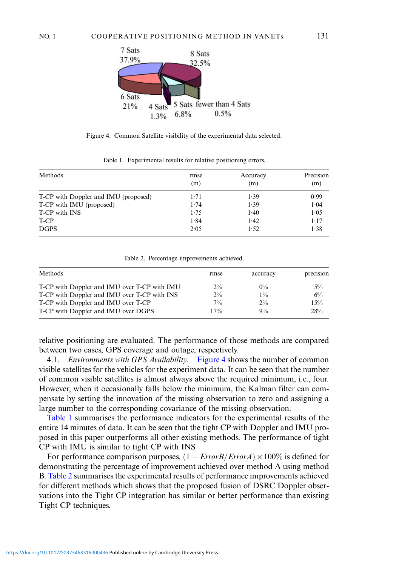<span id="page-11-0"></span>

Figure 4. Common Satellite visibility of the experimental data selected.

| Methods                              | rmse<br>(m) | Accuracy<br>(m) | Precision<br>(m) |
|--------------------------------------|-------------|-----------------|------------------|
| T-CP with Doppler and IMU (proposed) | 1.71        | 1.39            | 0.99             |
| T-CP with IMU (proposed)             | 1.74        | 1.39            | 1.04             |
| T-CP with INS                        | 1.75        | 1.40            | 1.05             |
| T-CP                                 | 1.84        | 1.42            | $1 - 17$         |
| <b>DGPS</b>                          | 2.05        | 1.52            | 1.38             |

Table 1. Experimental results for relative positioning errors.

Table 2. Percentage improvements achieved.

| Methods                                      | rmse  | accuracy | precision |
|----------------------------------------------|-------|----------|-----------|
| T-CP with Doppler and IMU over T-CP with IMU | $2\%$ | $0\%$    | $5\%$     |
| T-CP with Doppler and IMU over T-CP with INS | $2\%$ | $1\%$    | 6%        |
| T-CP with Doppler and IMU over T-CP          | $7\%$ | $2\%$    | 15%       |
| T-CP with Doppler and IMU over DGPS          | 17%   | $9\%$    | 28%       |

relative positioning are evaluated. The performance of those methods are compared between two cases, GPS coverage and outage, respectively.

4.1. *Environments with GPS Availability.* Figure 4 shows the number of common visible satellites for the vehicles for the experiment data. It can be seen that the number of common visible satellites is almost always above the required minimum, i.e., four. However, when it occasionally falls below the minimum, the Kalman filter can compensate by setting the innovation of the missing observation to zero and assigning a large number to the corresponding covariance of the missing observation.

Table 1 summarises the performance indicators for the experimental results of the entire 14 minutes of data. It can be seen that the tight CP with Doppler and IMU proposed in this paper outperforms all other existing methods. The performance of tight CP with IMU is similar to tight CP with INS.

For performance comparison purposes,  $(1 - ErrorB/ErrorA) \times 100\%$  is defined for demonstrating the percentage of improvement achieved over method A using method B. Table 2 summarises the experimental results of performance improvements achieved for different methods which shows that the proposed fusion of DSRC Doppler observations into the Tight CP integration has similar or better performance than existing Tight CP techniques.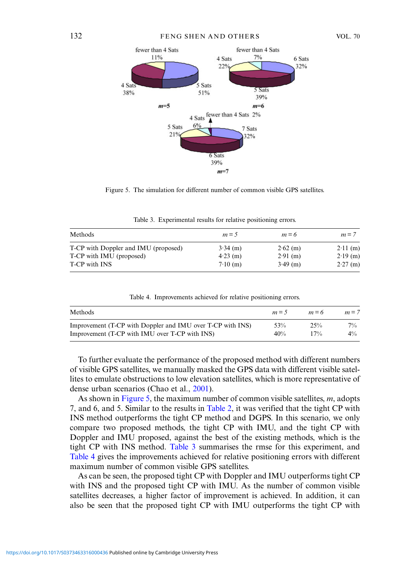

Figure 5. The simulation for different number of common visible GPS satellites.

| Methods                              | $m = 5$    | $m = 6$    | $m = 7$    |
|--------------------------------------|------------|------------|------------|
| T-CP with Doppler and IMU (proposed) | $3.34$ (m) | $2.62$ (m) | $2.11$ (m) |
| T-CP with IMU (proposed)             | $4.23$ (m) | $2.91$ (m) | $2.19$ (m) |
| T-CP with INS                        | $7.10$ (m) | $3.49$ (m) | $2.27$ (m) |

Table 3. Experimental results for relative positioning errors.

| Methods                                                    | $m=5$ | $m = 6$ | $m = 7$ |
|------------------------------------------------------------|-------|---------|---------|
| Improvement (T-CP with Doppler and IMU over T-CP with INS) | 53%   | 25%     | $7\%$   |
| Improvement (T-CP with IMU over T-CP with INS)             | 40%   | $17\%$  | $4\%$   |

Table 4. Improvements achieved for relative positioning errors.

To further evaluate the performance of the proposed method with different numbers of visible GPS satellites, we manually masked the GPS data with different visible satellites to emulate obstructions to low elevation satellites, which is more representative of dense urban scenarios (Chao et al., [2001](#page-16-0)).

As shown in Figure 5, the maximum number of common visible satellites, m, adopts 7, and 6, and 5. Similar to the results in [Table 2](#page-11-0), it was verified that the tight CP with INS method outperforms the tight CP method and DGPS. In this scenario, we only compare two proposed methods, the tight CP with IMU, and the tight CP with Doppler and IMU proposed, against the best of the existing methods, which is the tight CP with INS method. Table 3 summarises the rmse for this experiment, and Table 4 gives the improvements achieved for relative positioning errors with different maximum number of common visible GPS satellites.

As can be seen, the proposed tight CP with Doppler and IMU outperforms tight CP with INS and the proposed tight CP with IMU. As the number of common visible satellites decreases, a higher factor of improvement is achieved. In addition, it can also be seen that the proposed tight CP with IMU outperforms the tight CP with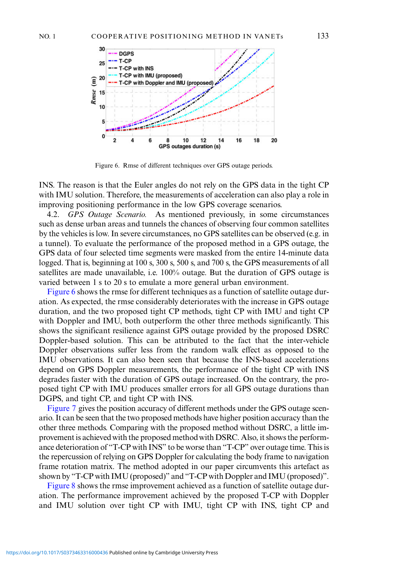<span id="page-13-0"></span>

Figure 6. Rmse of different techniques over GPS outage periods.

INS. The reason is that the Euler angles do not rely on the GPS data in the tight CP with IMU solution. Therefore, the measurements of acceleration can also play a role in improving positioning performance in the low GPS coverage scenarios.

4.2. GPS Outage Scenario. As mentioned previously, in some circumstances such as dense urban areas and tunnels the chances of observing four common satellites by the vehicles is low. In severe circumstances, no GPS satellites can be observed (e.g. in a tunnel). To evaluate the performance of the proposed method in a GPS outage, the GPS data of four selected time segments were masked from the entire 14-minute data logged. That is, beginning at 100 s, 300 s, 500 s, and 700 s, the GPS measurements of all satellites are made unavailable, i.e. 100% outage. But the duration of GPS outage is varied between 1 s to 20 s to emulate a more general urban environment.

Figure 6 shows the rmse for different techniques as a function of satellite outage duration. As expected, the rmse considerably deteriorates with the increase in GPS outage duration, and the two proposed tight CP methods, tight CP with IMU and tight CP with Doppler and IMU, both outperform the other three methods significantly. This shows the significant resilience against GPS outage provided by the proposed DSRC Doppler-based solution. This can be attributed to the fact that the inter-vehicle Doppler observations suffer less from the random walk effect as opposed to the IMU observations. It can also been seen that because the INS-based accelerations depend on GPS Doppler measurements, the performance of the tight CP with INS degrades faster with the duration of GPS outage increased. On the contrary, the proposed tight CP with IMU produces smaller errors for all GPS outage durations than DGPS, and tight CP, and tight CP with INS.

[Figure 7](#page-14-0) gives the position accuracy of different methods under the GPS outage scenario. It can be seen that the two proposed methods have higher position accuracy than the other three methods. Comparing with the proposed method without DSRC, a little improvement is achieved with the proposed method with DSRC. Also, it shows the performance deterioration of "T-CP with INS" to be worse than "T-CP" over outage time. This is the repercussion of relying on GPS Doppler for calculating the body frame to navigation frame rotation matrix. The method adopted in our paper circumvents this artefact as shown by "T-CP with IMU (proposed)" and "T-CP with Doppler and IMU (proposed)".

[Figure 8](#page-14-0) shows the rmse improvement achieved as a function of satellite outage duration. The performance improvement achieved by the proposed T-CP with Doppler and IMU solution over tight CP with IMU, tight CP with INS, tight CP and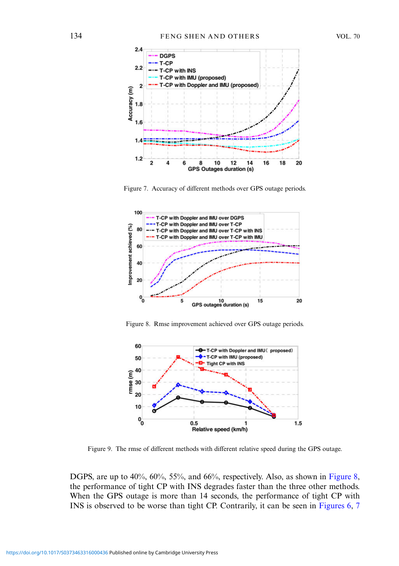<span id="page-14-0"></span>

Figure 7. Accuracy of different methods over GPS outage periods.



Figure 8. Rmse improvement achieved over GPS outage periods.



Figure 9. The rmse of different methods with different relative speed during the GPS outage.

DGPS, are up to 40%, 60%, 55%, and 66%, respectively. Also, as shown in Figure 8, the performance of tight CP with INS degrades faster than the three other methods. When the GPS outage is more than 14 seconds, the performance of tight CP with INS is observed to be worse than tight CP. Contrarily, it can be seen in [Figures 6](#page-13-0), 7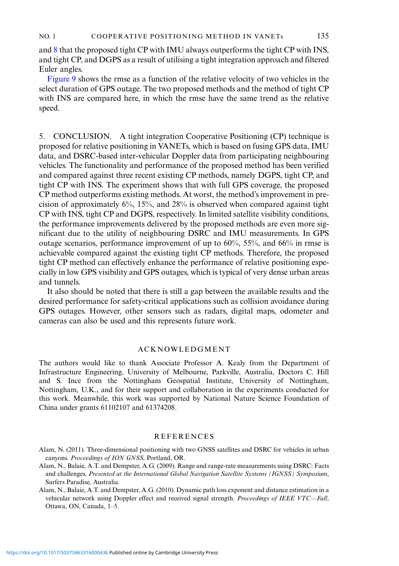<span id="page-15-0"></span>and [8](#page-14-0) that the proposed tight CP with IMU always outperforms the tight CP with INS, and tight CP, and DGPS as a result of utilising a tight integration approach and filtered Euler angles.

[Figure 9](#page-14-0) shows the rmse as a function of the relative velocity of two vehicles in the select duration of GPS outage. The two proposed methods and the method of tight CP with INS are compared here, in which the rmse have the same trend as the relative speed.

5. CONCLUSION. A tight integration Cooperative Positioning (CP) technique is proposed for relative positioning in VANETs, which is based on fusing GPS data, IMU data, and DSRC-based inter-vehicular Doppler data from participating neighbouring vehicles. The functionality and performance of the proposed method has been verified and compared against three recent existing CP methods, namely DGPS, tight CP, and tight CP with INS. The experiment shows that with full GPS coverage, the proposed CP method outperforms existing methods. At worst, the method's improvement in precision of approximately 6%, 15%, and 28% is observed when compared against tight CP with INS, tight CP and DGPS, respectively. In limited satellite visibility conditions, the performance improvements delivered by the proposed methods are even more significant due to the utility of neighbouring DSRC and IMU measurements. In GPS outage scenarios, performance improvement of up to 60%, 55%, and 66% in rmse is achievable compared against the existing tight CP methods. Therefore, the proposed tight CP method can effectively enhance the performance of relative positioning especially in low GPS visibility and GPS outages, which is typical of very dense urban areas and tunnels.

It also should be noted that there is still a gap between the available results and the desired performance for safety-critical applications such as collision avoidance during GPS outages. However, other sensors such as radars, digital maps, odometer and cameras can also be used and this represents future work.

#### ACKNOWLEDGMENT

The authors would like to thank Associate Professor A. Kealy from the Department of Infrastructure Engineering, University of Melbourne, Parkville, Australia, Doctors C. Hill and S. Ince from the Nottingham Geospatial Institute, University of Nottingham, Nottingham, U.K., and for their support and collaboration in the experiments conducted for this work. Meanwhile, this work was supported by National Nature Science Foundation of China under grants 61102107 and 61374208.

## REFERENCES

- Alam, N. (2011). Three-dimensional positioning with two GNSS satellites and DSRC for vehicles in urban canyons. Proceedings of ION GNSS, Portland, OR.
- Alam, N., Balaie, A.T. and Dempster, A.G. (2009). Range and range-rate measurements using DSRC: Facts and challenges. Presented at the International Global Navigation Satellite Systems (IGNSS) Symposium, Surfers Paradise, Australia.
- Alam, N., Balaie, A.T. and Dempster, A.G. (2010). Dynamic path loss exponent and distance estimation in a vehicular network using Doppler effect and received signal strength. Proceedings of IEEE VTC-Fall, Ottawa, ON, Canada, 1–5.